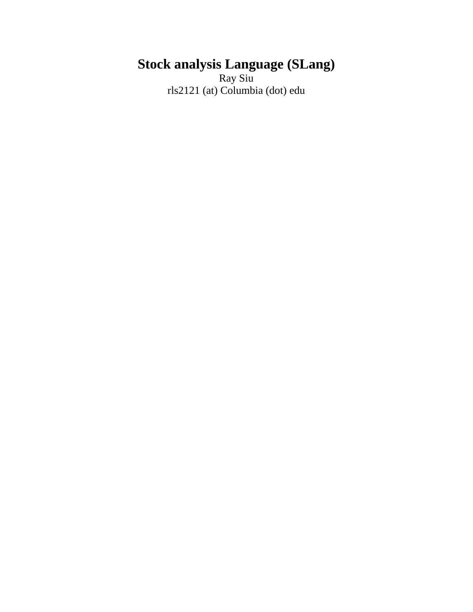# **Stock analysis Language (SLang)**

Ray Siu rls2121 (at) Columbia (dot) edu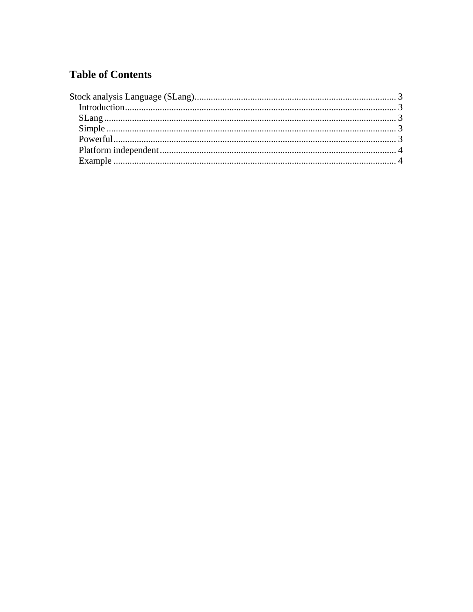### **Table of Contents**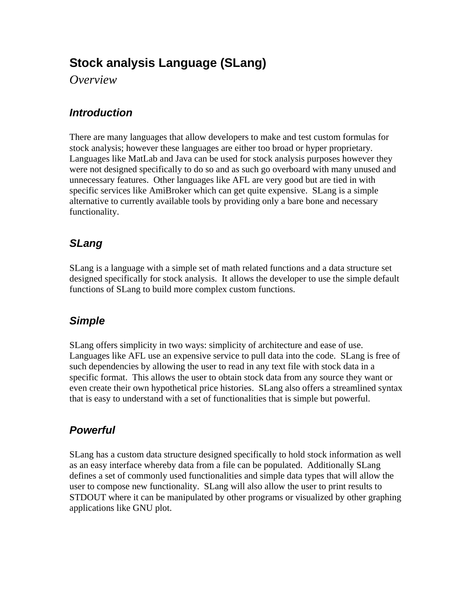## **Stock analysis Language (SLang)**

*Overview* 

#### *Introduction*

There are many languages that allow developers to make and test custom formulas for stock analysis; however these languages are either too broad or hyper proprietary. Languages like MatLab and Java can be used for stock analysis purposes however they were not designed specifically to do so and as such go overboard with many unused and unnecessary features. Other languages like AFL are very good but are tied in with specific services like AmiBroker which can get quite expensive. SLang is a simple alternative to currently available tools by providing only a bare bone and necessary functionality.

## *SLang*

SLang is a language with a simple set of math related functions and a data structure set designed specifically for stock analysis. It allows the developer to use the simple default functions of SLang to build more complex custom functions.

### *Simple*

SLang offers simplicity in two ways: simplicity of architecture and ease of use. Languages like AFL use an expensive service to pull data into the code. SLang is free of such dependencies by allowing the user to read in any text file with stock data in a specific format. This allows the user to obtain stock data from any source they want or even create their own hypothetical price histories. SLang also offers a streamlined syntax that is easy to understand with a set of functionalities that is simple but powerful.

## *Powerful*

SLang has a custom data structure designed specifically to hold stock information as well as an easy interface whereby data from a file can be populated. Additionally SLang defines a set of commonly used functionalities and simple data types that will allow the user to compose new functionality. SLang will also allow the user to print results to STDOUT where it can be manipulated by other programs or visualized by other graphing applications like GNU plot.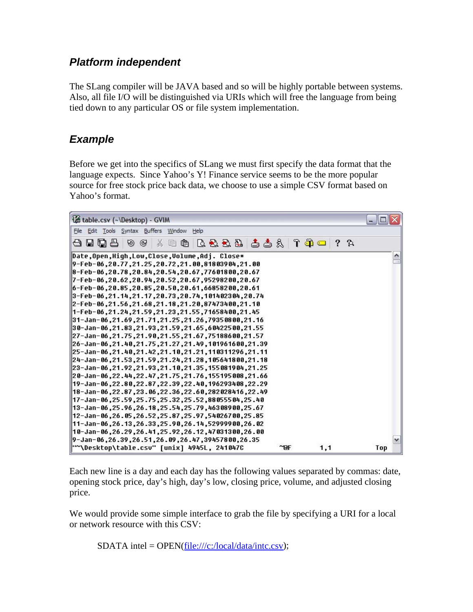#### *Platform independent*

The SLang compiler will be JAVA based and so will be highly portable between systems. Also, all file I/O will be distinguished via URIs which will free the language from being tied down to any particular OS or file system implementation.

#### *Example*

Before we get into the specifics of SLang we must first specify the data format that the language expects. Since Yahoo's Y! Finance service seems to be the more popular source for free stock price back data, we choose to use a simple CSV format based on Yahoo's format.



Each new line is a day and each day has the following values separated by commas: date, opening stock price, day's high, day's low, closing price, volume, and adjusted closing price.

We would provide some simple interface to grab the file by specifying a URI for a local or network resource with this CSV:

SDATA intel = OPEN(file:///c:/local/data/intc.csv);